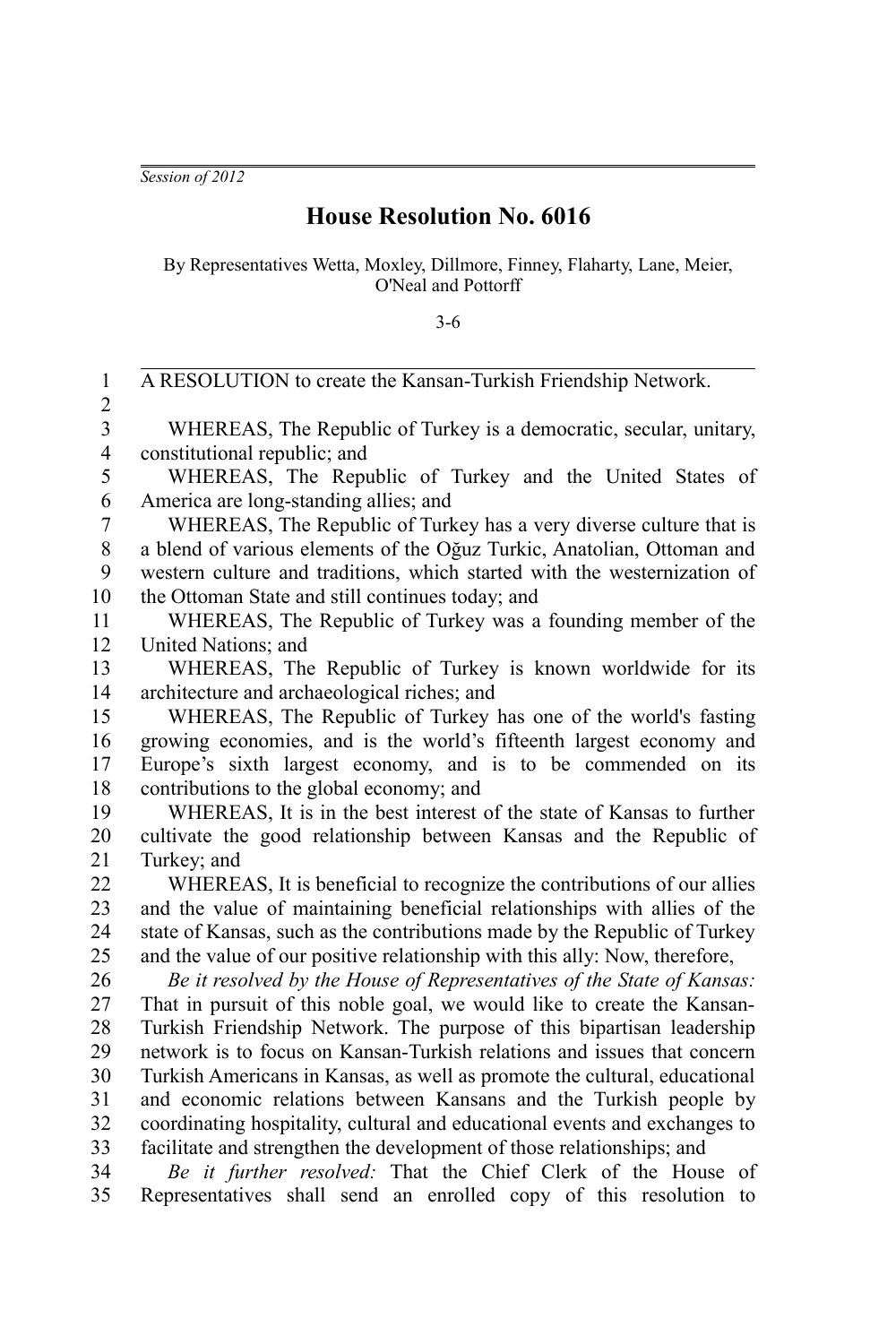*Session of 2012*

## **House Resolution No. 6016**

By Representatives Wetta, Moxley, Dillmore, Finney, Flaharty, Lane, Meier, O'Neal and Pottorff

3-6

| $\mathbf{1}$            | A RESOLUTION to create the Kansan-Turkish Friendship Network.              |
|-------------------------|----------------------------------------------------------------------------|
| $\overline{c}$          |                                                                            |
| $\overline{\mathbf{3}}$ | WHEREAS, The Republic of Turkey is a democratic, secular, unitary,         |
| $\overline{\mathbf{4}}$ | constitutional republic; and                                               |
| 5                       | WHEREAS, The Republic of Turkey and the United States of                   |
| 6                       | America are long-standing allies; and                                      |
| $\overline{7}$          | WHEREAS, The Republic of Turkey has a very diverse culture that is         |
| 8                       | a blend of various elements of the Oğuz Turkic, Anatolian, Ottoman and     |
| 9                       | western culture and traditions, which started with the westernization of   |
| 10                      | the Ottoman State and still continues today; and                           |
| 11                      | WHEREAS, The Republic of Turkey was a founding member of the               |
| 12                      | United Nations; and                                                        |
| 13                      | WHEREAS, The Republic of Turkey is known worldwide for its                 |
| 14                      | architecture and archaeological riches; and                                |
| 15                      | WHEREAS, The Republic of Turkey has one of the world's fasting             |
| 16                      | growing economies, and is the world's fifteenth largest economy and        |
| 17                      | Europe's sixth largest economy, and is to be commended on its              |
| 18                      | contributions to the global economy; and                                   |
| 19                      | WHEREAS, It is in the best interest of the state of Kansas to further      |
| 20                      | cultivate the good relationship between Kansas and the Republic of         |
| 21                      | Turkey; and                                                                |
| 22                      | WHEREAS, It is beneficial to recognize the contributions of our allies     |
| 23                      | and the value of maintaining beneficial relationships with allies of the   |
| 24                      | state of Kansas, such as the contributions made by the Republic of Turkey  |
| 25                      | and the value of our positive relationship with this ally: Now, therefore, |
| 26                      | Be it resolved by the House of Representatives of the State of Kansas:     |
| 27                      | That in pursuit of this noble goal, we would like to create the Kansan-    |
| 28                      | Turkish Friendship Network. The purpose of this bipartisan leadership      |
| 29                      | network is to focus on Kansan-Turkish relations and issues that concern    |
| 30                      | Turkish Americans in Kansas, as well as promote the cultural, educational  |
| 31                      | and economic relations between Kansans and the Turkish people by           |
| 32                      | coordinating hospitality, cultural and educational events and exchanges to |
| 33                      | facilitate and strengthen the development of those relationships; and      |
| 34                      | Be it further resolved: That the Chief Clerk of the House of               |
| 35                      | Representatives shall send an enrolled copy of this resolution to          |